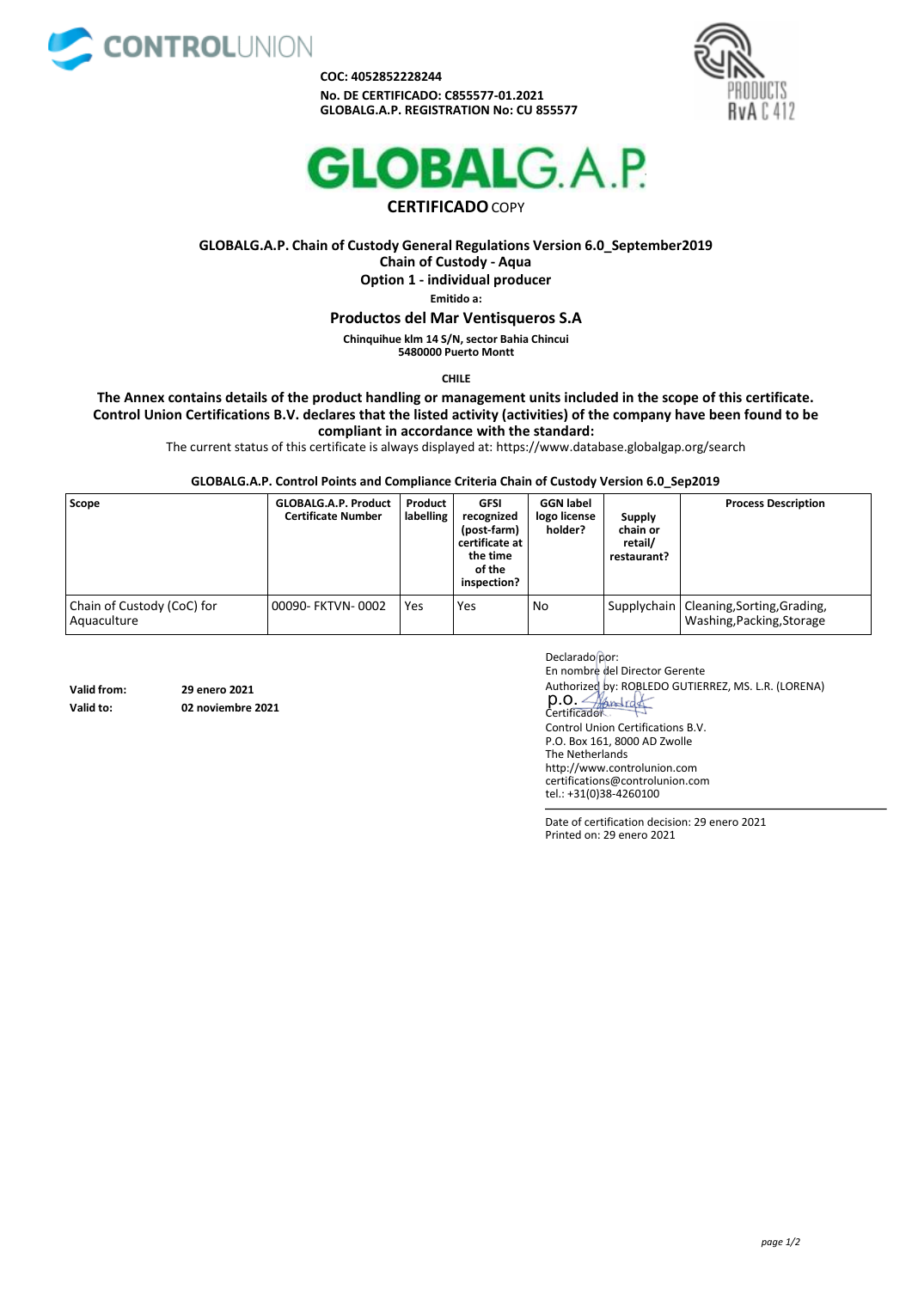

**COC: 4052852228244 No. DE CERTIFICADO: C855577-01.2021 GLOBALG.A.P. REGISTRATION No: CU 855577**





## **CERTIFICADO**COPY

**GLOBALG.A.P. Chain of Custody General Regulations Version 6.0\_September2019 Chain of Custody - Aqua Option 1 - individual producer Emitido a:**

**Productos del Mar Ventisqueros S.A**

**Chinquihue klm 14 S/N, sector Bahia Chincui 5480000 Puerto Montt**

**CHILE**

**The Annex contains details of the product handling or management units included in the scope of this certificate. Control Union Certifications B.V. declares that the listed activity (activities) of the company have been found to be compliant in accordance with the standard:**

The current status of this certificate is always displayed at: [https://www.database.globalgap.org/search](http://www.database.globalgap.org/search)

**GLOBALG.A.P. Control Points and Compliance Criteria Chain of Custody Version 6.0\_Sep2019**

| Scope                                     | <b>GLOBALG.A.P. Product</b><br><b>Certificate Number</b> | Product<br>labelling | GFSI<br>recognized<br>(post-farm)<br>certificate at  <br>the time<br>of the<br>inspection? | <b>GGN label</b><br>logo license<br>holder? | <b>Supply</b><br>chain or<br>retail/<br>restaurant? | <b>Process Description</b>                                             |
|-------------------------------------------|----------------------------------------------------------|----------------------|--------------------------------------------------------------------------------------------|---------------------------------------------|-----------------------------------------------------|------------------------------------------------------------------------|
| Chain of Custody (CoC) for<br>Aquaculture | 00090- FKTVN-0002                                        | Yes                  | Yes                                                                                        | No                                          |                                                     | Supplychain   Cleaning, Sorting, Grading,<br>Washing, Packing, Storage |

**Valid from: 29 enero 2021**

**Valid to: 02 noviembre 2021**

Declarado por: En nombre del Director Gerente Authorized by: ROBLEDO GUTIERREZ, MS. L.R. (LORENA) p.o. 4 Control Union Certifications B.V. P.O. Box 161, 8000 AD Zwolle The Netherlands [http://www.controlunion.com](http://www.controlunion.com/) [certifications@controlunion.com](mailto:certifications@controlunion.com)

Date of certification decision: 29 enero 2021 Printed on: 29 enero 2021

tel.: +31(0)38-4260100